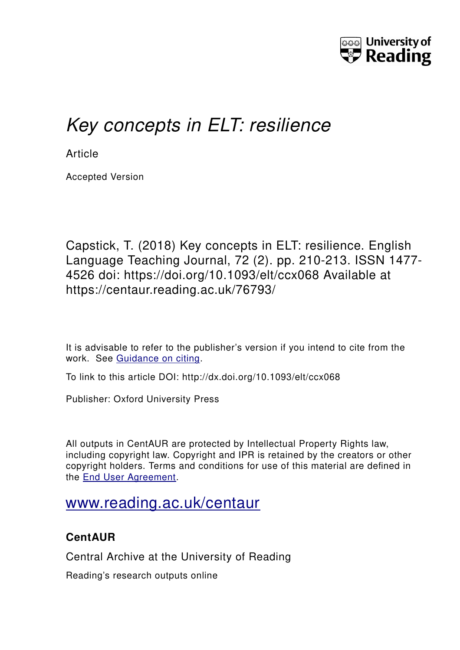

# *Key concepts in ELT: resilience*

**Article** 

Accepted Version

Capstick, T. (2018) Key concepts in ELT: resilience. English Language Teaching Journal, 72 (2). pp. 210-213. ISSN 1477- 4526 doi: https://doi.org/10.1093/elt/ccx068 Available at https://centaur.reading.ac.uk/76793/

It is advisable to refer to the publisher's version if you intend to cite from the work. See [Guidance on citing.](http://centaur.reading.ac.uk/71187/10/CentAUR%20citing%20guide.pdf)

To link to this article DOI: http://dx.doi.org/10.1093/elt/ccx068

Publisher: Oxford University Press

All outputs in CentAUR are protected by Intellectual Property Rights law, including copyright law. Copyright and IPR is retained by the creators or other copyright holders. Terms and conditions for use of this material are defined in the [End User Agreement.](http://centaur.reading.ac.uk/licence)

## [www.reading.ac.uk/centaur](http://www.reading.ac.uk/centaur)

### **CentAUR**

Central Archive at the University of Reading

Reading's research outputs online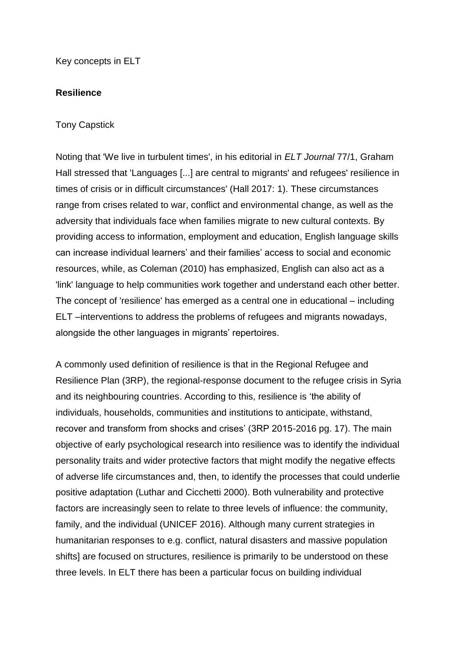Key concepts in ELT

#### **Resilience**

#### Tony Capstick

Noting that 'We live in turbulent times', in his editorial in *ELT Journal* 77/1, Graham Hall stressed that 'Languages [...] are central to migrants' and refugees' resilience in times of crisis or in difficult circumstances' (Hall 2017: 1). These circumstances range from crises related to war, conflict and environmental change, as well as the adversity that individuals face when families migrate to new cultural contexts. By providing access to information, employment and education, English language skills can increase individual learners' and their families' access to social and economic resources, while, as Coleman (2010) has emphasized, English can also act as a 'link' language to help communities work together and understand each other better. The concept of 'resilience' has emerged as a central one in educational – including ELT –interventions to address the problems of refugees and migrants nowadays, alongside the other languages in migrants' repertoires.

A commonly used definition of resilience is that in the Regional Refugee and Resilience Plan (3RP), the regional-response document to the refugee crisis in Syria and its neighbouring countries. According to this, resilience is 'the ability of individuals, households, communities and institutions to anticipate, withstand, recover and transform from shocks and crises' (3RP 2015-2016 pg. 17). The main objective of early psychological research into resilience was to identify the individual personality traits and wider protective factors that might modify the negative effects of adverse life circumstances and, then, to identify the processes that could underlie positive adaptation (Luthar and Cicchetti 2000). Both vulnerability and protective factors are increasingly seen to relate to three levels of influence: the community, family, and the individual (UNICEF 2016). Although many current strategies in humanitarian responses to e.g. conflict, natural disasters and massive population shifts] are focused on structures, resilience is primarily to be understood on these three levels. In ELT there has been a particular focus on building individual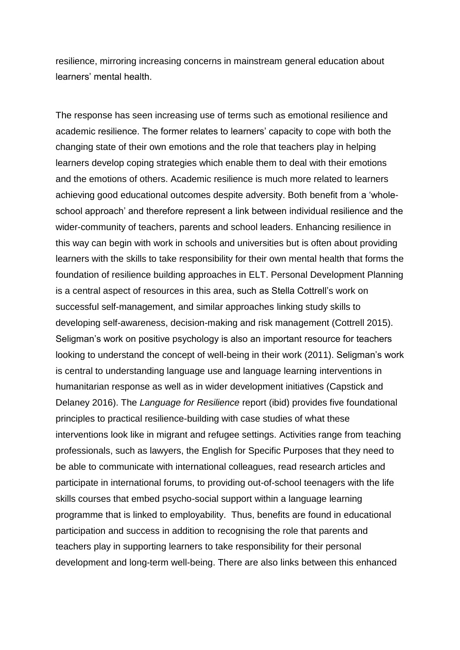resilience, mirroring increasing concerns in mainstream general education about learners' mental health.

The response has seen increasing use of terms such as emotional resilience and academic resilience. The former relates to learners' capacity to cope with both the changing state of their own emotions and the role that teachers play in helping learners develop coping strategies which enable them to deal with their emotions and the emotions of others. Academic resilience is much more related to learners achieving good educational outcomes despite adversity. Both benefit from a 'wholeschool approach' and therefore represent a link between individual resilience and the wider-community of teachers, parents and school leaders. Enhancing resilience in this way can begin with work in schools and universities but is often about providing learners with the skills to take responsibility for their own mental health that forms the foundation of resilience building approaches in ELT. Personal Development Planning is a central aspect of resources in this area, such as Stella Cottrell's work on successful self-management, and similar approaches linking study skills to developing self-awareness, decision-making and risk management (Cottrell 2015). Seligman's work on positive psychology is also an important resource for teachers looking to understand the concept of well-being in their work (2011). Seligman's work is central to understanding language use and language learning interventions in humanitarian response as well as in wider development initiatives (Capstick and Delaney 2016). The *Language for Resilience* report (ibid) provides five foundational principles to practical resilience-building with case studies of what these interventions look like in migrant and refugee settings. Activities range from teaching professionals, such as lawyers, the English for Specific Purposes that they need to be able to communicate with international colleagues, read research articles and participate in international forums, to providing out-of-school teenagers with the life skills courses that embed psycho-social support within a language learning programme that is linked to employability. Thus, benefits are found in educational participation and success in addition to recognising the role that parents and teachers play in supporting learners to take responsibility for their personal development and long-term well-being. There are also links between this enhanced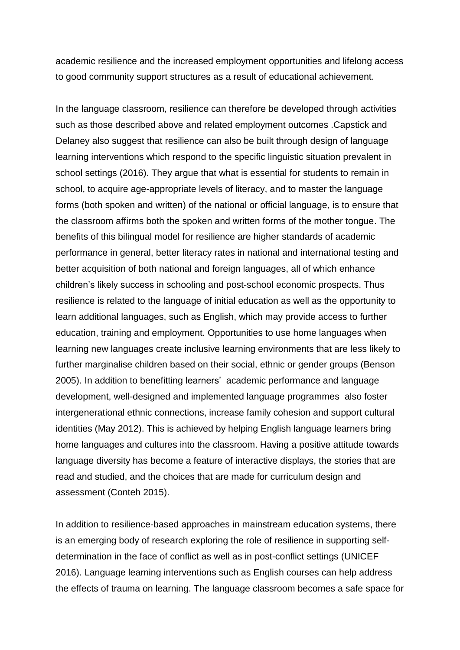academic resilience and the increased employment opportunities and lifelong access to good community support structures as a result of educational achievement.

In the language classroom, resilience can therefore be developed through activities such as those described above and related employment outcomes .Capstick and Delaney also suggest that resilience can also be built through design of language learning interventions which respond to the specific linguistic situation prevalent in school settings (2016). They argue that what is essential for students to remain in school, to acquire age-appropriate levels of literacy, and to master the language forms (both spoken and written) of the national or official language, is to ensure that the classroom affirms both the spoken and written forms of the mother tongue. The benefits of this bilingual model for resilience are higher standards of academic performance in general, better literacy rates in national and international testing and better acquisition of both national and foreign languages, all of which enhance children's likely success in schooling and post-school economic prospects. Thus resilience is related to the language of initial education as well as the opportunity to learn additional languages, such as English, which may provide access to further education, training and employment. Opportunities to use home languages when learning new languages create inclusive learning environments that are less likely to further marginalise children based on their social, ethnic or gender groups (Benson 2005). In addition to benefitting learners' academic performance and language development, well-designed and implemented language programmes also foster intergenerational ethnic connections, increase family cohesion and support cultural identities (May 2012). This is achieved by helping English language learners bring home languages and cultures into the classroom. Having a positive attitude towards language diversity has become a feature of interactive displays, the stories that are read and studied, and the choices that are made for curriculum design and assessment (Conteh 2015).

In addition to resilience-based approaches in mainstream education systems, there is an emerging body of research exploring the role of resilience in supporting selfdetermination in the face of conflict as well as in post-conflict settings (UNICEF 2016). Language learning interventions such as English courses can help address the effects of trauma on learning. The language classroom becomes a safe space for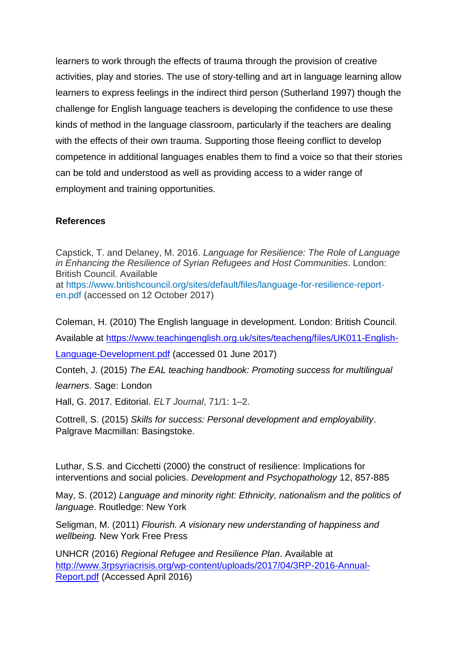learners to work through the effects of trauma through the provision of creative activities, play and stories. The use of story-telling and art in language learning allow learners to express feelings in the indirect third person (Sutherland 1997) though the challenge for English language teachers is developing the confidence to use these kinds of method in the language classroom, particularly if the teachers are dealing with the effects of their own trauma. Supporting those fleeing conflict to develop competence in additional languages enables them to find a voice so that their stories can be told and understood as well as providing access to a wider range of employment and training opportunities.

#### **References**

Capstick, T. and Delaney, M. 2016. *Language for Resilience: The Role of Language in Enhancing the Resilience of Syrian Refugees and Host Communities*. London: British Council. Available at [https://www.britishcouncil.org/sites/default/files/language-for-resilience-report](https://www.britishcouncil.org/sites/default/files/language-for-resilience-report-en.pdf)[en.pdf](https://www.britishcouncil.org/sites/default/files/language-for-resilience-report-en.pdf) (accessed on 12 October 2017)

Coleman, H. (2010) The English language in development. London: British Council.

Available at [https://www.teachingenglish.org.uk/sites/teacheng/files/UK011-English-](https://www.teachingenglish.org.uk/sites/teacheng/files/UK011-English-Language-Development.pdf)[Language-Development.pdf](https://www.teachingenglish.org.uk/sites/teacheng/files/UK011-English-Language-Development.pdf) (accessed 01 June 2017)

Conteh, J. (2015) *The EAL teaching handbook: Promoting success for multilingual learners*. Sage: London

Hall, G. 2017. Editorial. *ELT Journal*, 71/1: 1–2.

Cottrell, S. (2015) *Skills for success: Personal development and employability*. Palgrave Macmillan: Basingstoke.

Luthar, S.S. and Cicchetti (2000) the construct of resilience: Implications for interventions and social policies. *Development and Psychopathology* 12, 857-885

May, S. (2012) *Language and minority right: Ethnicity, nationalism and the politics of language*. Routledge: New York

Seligman, M. (2011) *Flourish. A visionary new understanding of happiness and wellbeing.* New York Free Press

UNHCR (2016) *Regional Refugee and Resilience Plan*. Available at [http://www.3rpsyriacrisis.org/wp-content/uploads/2017/04/3RP-2016-Annual-](http://www.3rpsyriacrisis.org/wp-content/uploads/2017/04/3RP-2016-Annual-Report.pdf)[Report.pdf](http://www.3rpsyriacrisis.org/wp-content/uploads/2017/04/3RP-2016-Annual-Report.pdf) (Accessed April 2016)